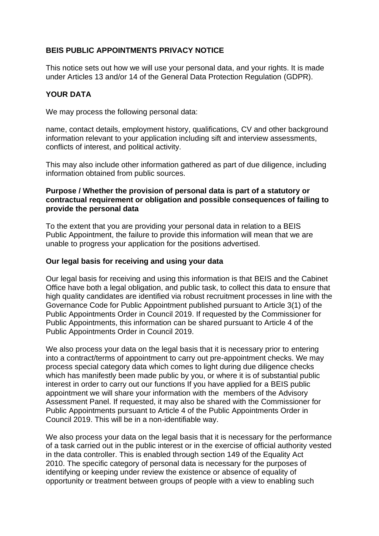## **BEIS PUBLIC APPOINTMENTS PRIVACY NOTICE**

This notice sets out how we will use your personal data, and your rights. It is made under Articles 13 and/or 14 of the General Data Protection Regulation (GDPR).

### **YOUR DATA**

We may process the following personal data:

name, contact details, employment history, qualifications, CV and other background information relevant to your application including sift and interview assessments, conflicts of interest, and political activity.

This may also include other information gathered as part of due diligence, including information obtained from public sources.

#### **Purpose / Whether the provision of personal data is part of a statutory or contractual requirement or obligation and possible consequences of failing to provide the personal data**

To the extent that you are providing your personal data in relation to a BEIS Public Appointment, the failure to provide this information will mean that we are unable to progress your application for the positions advertised.

#### **Our legal basis for receiving and using your data**

Our legal basis for receiving and using this information is that BEIS and the Cabinet Office have both a legal obligation, and public task, to collect this data to ensure that high quality candidates are identified via robust recruitment processes in line with the Governance Code for Public Appointment published pursuant to Article 3(1) of the Public Appointments Order in Council 2019. If requested by the Commissioner for Public Appointments, this information can be shared pursuant to Article 4 of the Public Appointments Order in Council 2019.

We also process your data on the legal basis that it is necessary prior to entering into a contract/terms of appointment to carry out pre-appointment checks. We may process special category data which comes to light during due diligence checks which has manifestly been made public by you, or where it is of substantial public interest in order to carry out our functions If you have applied for a BEIS public appointment we will share your information with the members of the Advisory Assessment Panel. If requested, it may also be shared with the Commissioner for Public Appointments pursuant to Article 4 of the Public Appointments Order in Council 2019. This will be in a non-identifiable way.

We also process your data on the legal basis that it is necessary for the performance of a task carried out in the public interest or in the exercise of official authority vested in the data controller. This is enabled through section 149 of the Equality Act 2010. The specific category of personal data is necessary for the purposes of identifying or keeping under review the existence or absence of equality of opportunity or treatment between groups of people with a view to enabling such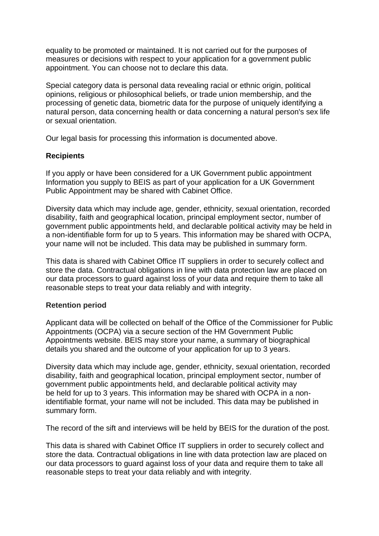equality to be promoted or maintained. It is not carried out for the purposes of measures or decisions with respect to your application for a government public appointment. You can choose not to declare this data.

Special category data is personal data revealing racial or ethnic origin, political opinions, religious or philosophical beliefs, or trade union membership, and the processing of genetic data, biometric data for the purpose of uniquely identifying a natural person, data concerning health or data concerning a natural person's sex life or sexual orientation.

Our legal basis for processing this information is documented above.

### **Recipients**

If you apply or have been considered for a UK Government public appointment Information you supply to BEIS as part of your application for a UK Government Public Appointment may be shared with Cabinet Office.

Diversity data which may include age, gender, ethnicity, sexual orientation, recorded disability, faith and geographical location, principal employment sector, number of government public appointments held, and declarable political activity may be held in a non-identifiable form for up to 5 years. This information may be shared with OCPA, your name will not be included. This data may be published in summary form.

This data is shared with Cabinet Office IT suppliers in order to securely collect and store the data. Contractual obligations in line with data protection law are placed on our data processors to guard against loss of your data and require them to take all reasonable steps to treat your data reliably and with integrity.

### **Retention period**

Applicant data will be collected on behalf of the Office of the Commissioner for Public Appointments (OCPA) via a secure section of the HM Government Public Appointments website. BEIS may store your name, a summary of biographical details you shared and the outcome of your application for up to 3 years.

Diversity data which may include age, gender, ethnicity, sexual orientation, recorded disability, faith and geographical location, principal employment sector, number of government public appointments held, and declarable political activity may be held for up to 3 years. This information may be shared with OCPA in a nonidentifiable format, your name will not be included. This data may be published in summary form.

The record of the sift and interviews will be held by BEIS for the duration of the post.

This data is shared with Cabinet Office IT suppliers in order to securely collect and store the data. Contractual obligations in line with data protection law are placed on our data processors to guard against loss of your data and require them to take all reasonable steps to treat your data reliably and with integrity.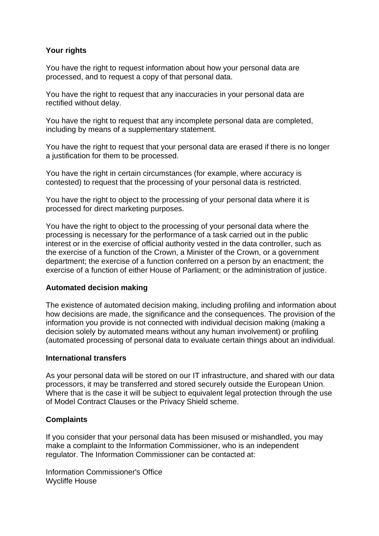# **Your rights**

You have the right to request information about how your personal data are processed, and to request a copy of that personal data.

You have the right to request that any inaccuracies in your personal data are rectified without delay.

You have the right to request that any incomplete personal data are completed, including by means of a supplementary statement.

You have the right to request that your personal data are erased if there is no longer a justification for them to be processed.

You have the right in certain circumstances (for example, where accuracy is contested) to request that the processing of your personal data is restricted.

You have the right to object to the processing of your personal data where it is processed for direct marketing purposes.

You have the right to object to the processing of your personal data where the processing is necessary for the performance of a task carried out in the public interest or in the exercise of official authority vested in the data controller, such as the exercise of a function of the Crown, a Minister of the Crown, or a government department; the exercise of a function conferred on a person by an enactment; the exercise of a function of either House of Parliament; or the administration of justice.

### **Automated decision making**

The existence of automated decision making, including profiling and information about how decisions are made, the significance and the consequences. The provision of the information you provide is not connected with individual decision making (making a decision solely by automated means without any human involvement) or profiling (automated processing of personal data to evaluate certain things about an individual.

### **International transfers**

As your personal data will be stored on our IT infrastructure, and shared with our data processors, it may be transferred and stored securely outside the European Union. Where that is the case it will be subject to equivalent legal protection through the use of Model Contract Clauses or the Privacy Shield scheme.

### **Complaints**

If you consider that your personal data has been misused or mishandled, you may make a complaint to the Information Commissioner, who is an independent regulator. The Information Commissioner can be contacted at:

Information Commissioner's Office Wycliffe House